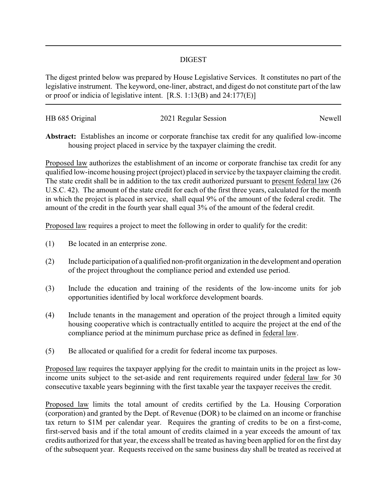## DIGEST

The digest printed below was prepared by House Legislative Services. It constitutes no part of the legislative instrument. The keyword, one-liner, abstract, and digest do not constitute part of the law or proof or indicia of legislative intent. [R.S. 1:13(B) and 24:177(E)]

| HB 685 Original | 2021 Regular Session | Newell |
|-----------------|----------------------|--------|
|                 |                      |        |

**Abstract:** Establishes an income or corporate franchise tax credit for any qualified low-income housing project placed in service by the taxpayer claiming the credit.

Proposed law authorizes the establishment of an income or corporate franchise tax credit for any qualified low-income housing project (project) placed in service by the taxpayer claiming the credit. The state credit shall be in addition to the tax credit authorized pursuant to present federal law (26 U.S.C. 42). The amount of the state credit for each of the first three years, calculated for the month in which the project is placed in service, shall equal 9% of the amount of the federal credit. The amount of the credit in the fourth year shall equal 3% of the amount of the federal credit.

Proposed law requires a project to meet the following in order to qualify for the credit:

- (1) Be located in an enterprise zone.
- (2) Include participation of a qualified non-profit organization in the development and operation of the project throughout the compliance period and extended use period.
- (3) Include the education and training of the residents of the low-income units for job opportunities identified by local workforce development boards.
- (4) Include tenants in the management and operation of the project through a limited equity housing cooperative which is contractually entitled to acquire the project at the end of the compliance period at the minimum purchase price as defined in federal law.
- (5) Be allocated or qualified for a credit for federal income tax purposes.

Proposed law requires the taxpayer applying for the credit to maintain units in the project as lowincome units subject to the set-aside and rent requirements required under federal law for 30 consecutive taxable years beginning with the first taxable year the taxpayer receives the credit.

Proposed law limits the total amount of credits certified by the La. Housing Corporation (corporation) and granted by the Dept. of Revenue (DOR) to be claimed on an income or franchise tax return to \$1M per calendar year. Requires the granting of credits to be on a first-come, first-served basis and if the total amount of credits claimed in a year exceeds the amount of tax credits authorized for that year, the excess shall be treated as having been applied for on the first day of the subsequent year. Requests received on the same business day shall be treated as received at